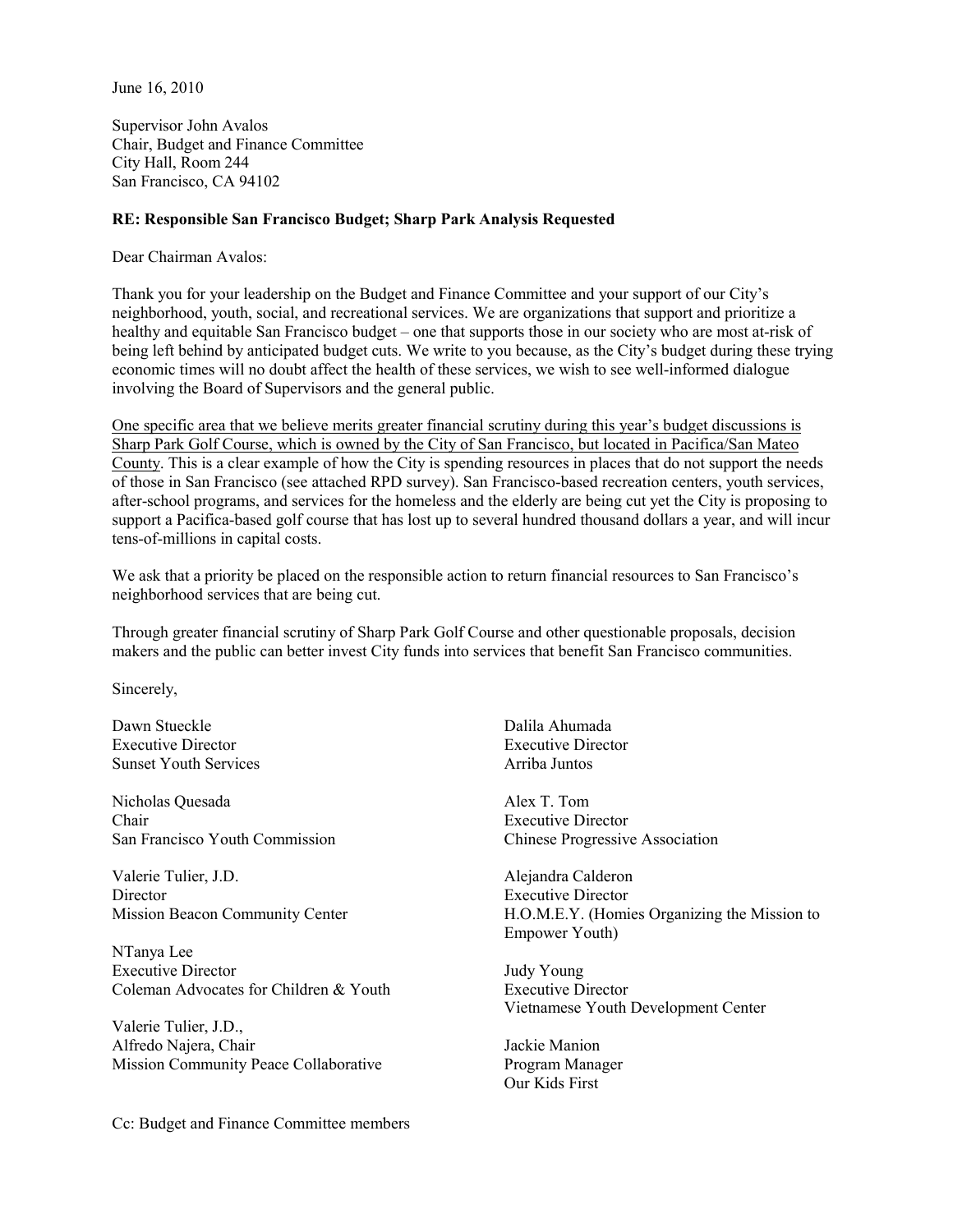June 16, 2010

Supervisor John Avalos Chair, Budget and Finance Committee City Hall, Room 244 San Francisco, CA 94102

## **RE: Responsible San Francisco Budget; Sharp Park Analysis Requested**

Dear Chairman Avalos:

Thank you for your leadership on the Budget and Finance Committee and your support of our City's neighborhood, youth, social, and recreational services. We are organizations that support and prioritize a healthy and equitable San Francisco budget – one that supports those in our society who are most at-risk of being left behind by anticipated budget cuts. We write to you because, as the City's budget during these trying economic times will no doubt affect the health of these services, we wish to see well-informed dialogue involving the Board of Supervisors and the general public.

One specific area that we believe merits greater financial scrutiny during this year's budget discussions is Sharp Park Golf Course, which is owned by the City of San Francisco, but located in Pacifica/San Mateo County. This is a clear example of how the City is spending resources in places that do not support the needs of those in San Francisco (see attached RPD survey). San Francisco-based recreation centers, youth services, after-school programs, and services for the homeless and the elderly are being cut yet the City is proposing to support a Pacifica-based golf course that has lost up to several hundred thousand dollars a year, and will incur tens-of-millions in capital costs.

We ask that a priority be placed on the responsible action to return financial resources to San Francisco's neighborhood services that are being cut.

Through greater financial scrutiny of Sharp Park Golf Course and other questionable proposals, decision makers and the public can better invest City funds into services that benefit San Francisco communities.

Sincerely,

Dawn Stueckle Executive Director Sunset Youth Services

Nicholas Quesada Chair San Francisco Youth Commission

Valerie Tulier, J.D. **Director** Mission Beacon Community Center

NTanya Lee Executive Director Coleman Advocates for Children & Youth

Valerie Tulier, J.D., Alfredo Najera, Chair Mission Community Peace Collaborative

Cc: Budget and Finance Committee members

Dalila Ahumada Executive Director Arriba Juntos

Alex T. Tom Executive Director Chinese Progressive Association

Alejandra Calderon Executive Director H.O.M.E.Y. (Homies Organizing the Mission to Empower Youth)

Judy Young Executive Director Vietnamese Youth Development Center

Jackie Manion Program Manager Our Kids First